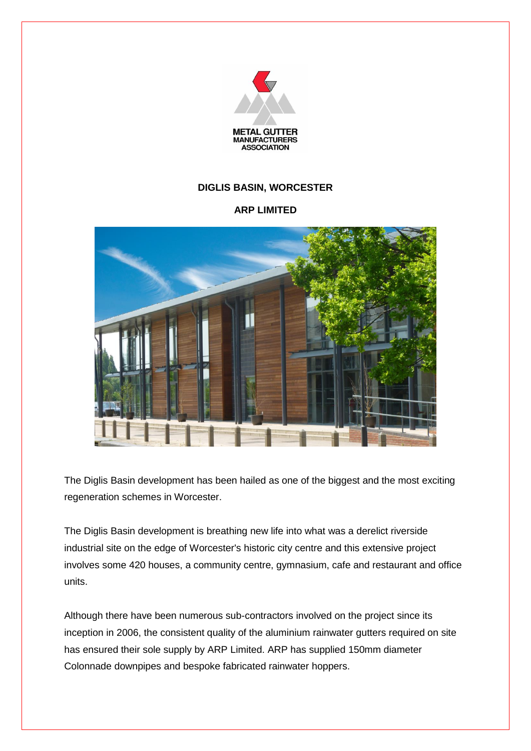

## **DIGLIS BASIN, WORCESTER**

## **ARP LIMITED**



The Diglis Basin development has been hailed as one of the biggest and the most exciting regeneration schemes in Worcester.

The Diglis Basin development is breathing new life into what was a derelict riverside industrial site on the edge of Worcester's historic city centre and this extensive project involves some 420 houses, a community centre, gymnasium, cafe and restaurant and office units.

Although there have been numerous sub-contractors involved on the project since its inception in 2006, the consistent quality of the aluminium rainwater gutters required on site has ensured their sole supply by ARP Limited. ARP has supplied 150mm diameter Colonnade downpipes and bespoke fabricated rainwater hoppers.